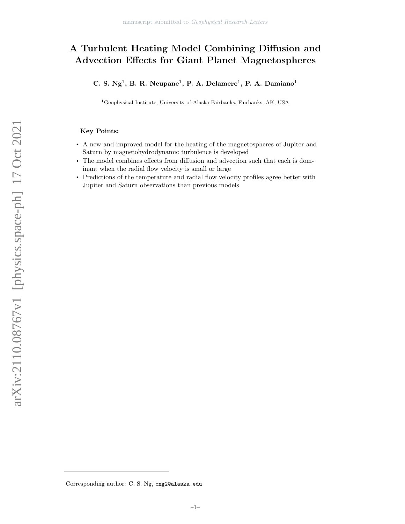# A Turbulent Heating Model Combining Diffusion and Advection Effects for Giant Planet Magnetospheres

C. S.  $Ng<sup>1</sup>$ , B. R. Neupane<sup>1</sup>, P. A. Delamere<sup>1</sup>, P. A. Damiano<sup>1</sup>

<sup>1</sup>Geophysical Institute, University of Alaska Fairbanks, Fairbanks, AK, USA

# Key Points:

- A new and improved model for the heating of the magnetospheres of Jupiter and Saturn by magnetohydrodynamic turbulence is developed
- The model combines effects from diffusion and advection such that each is dominant when the radial flow velocity is small or large
- Predictions of the temperature and radial flow velocity profiles agree better with Jupiter and Saturn observations than previous models

arXiv:2110.08767v1 [physics.space-ph] 17 Oct 2021 arXiv:2110.08767v1 [physics.space-ph] 17 Oct 2021

Corresponding author: C. S. Ng, cng2@alaska.edu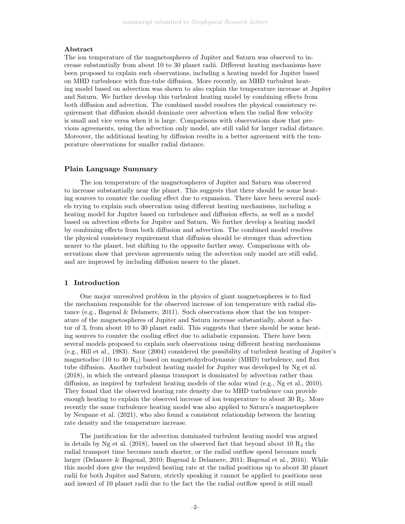## Abstract

The ion temperature of the magnetospheres of Jupiter and Saturn was observed to increase substantially from about 10 to 30 planet radii. Different heating mechanisms have been proposed to explain such observations, including a heating model for Jupiter based on MHD turbulence with flux-tube diffusion. More recently, an MHD turbulent heating model based on advection was shown to also explain the temperature increase at Jupiter and Saturn. We further develop this turbulent heating model by combining effects from both diffusion and advection. The combined model resolves the physical consistency requirement that diffusion should dominate over advection when the radial flow velocity is small and vice versa when it is large. Comparisons with observations show that previous agreements, using the advection only model, are still valid for larger radial distance. Moreover, the additional heating by diffusion results in a better agreement with the temperature observations for smaller radial distance.

## Plain Language Summary

The ion temperature of the magnetospheres of Jupiter and Saturn was observed to increase substantially near the planet. This suggests that there should be some heating sources to counter the cooling effect due to expansion. There have been several models trying to explain such observation using different heating mechanisms, including a heating model for Jupiter based on turbulence and diffusion effects, as well as a model based on advection effects for Jupiter and Saturn. We further develop a heating model by combining effects from both diffusion and advection. The combined model resolves the physical consistency requirement that diffusion should be stronger than advection nearer to the planet, but shifting to the opposite farther away. Comparisons with observations show that previous agreements using the advection only model are still valid, and are improved by including diffusion nearer to the planet.

# 1 Introduction

One major unresolved problem in the physics of giant magnetospheres is to find the mechanism responsible for the observed increase of ion temperature with radial distance (e.g., Bagenal & Delamere, 2011). Such observations show that the ion temperature of the magnetospheres of Jupiter and Saturn increase substantially, about a factor of 3, from about 10 to 30 planet radii. This suggests that there should be some heating sources to counter the cooling effect due to adiabatic expansion. There have been several models proposed to explain such observations using different heating mechanisms (e.g., Hill et al., 1983). Saur (2004) considered the possibility of turbulent heating of Jupiter's magnetodisc (10 to 40  $R_J$ ) based on magnetohydrodynamic (MHD) turbulence, and flux tube diffusion. Another turbulent heating model for Jupiter was developed by Ng et al. (2018), in which the outward plasma transport is dominated by advection rather than diffusion, as inspired by turbulent heating models of the solar wind (e.g., Ng et al., 2010). They found that the observed heating rate density due to MHD turbulence can provide enough heating to explain the observed increase of ion temperature to about 30 RJ. More recently the same turbulence heating model was also applied to Saturn's magnetosphere by Neupane et al. (2021), who also found a consistent relationship between the heating rate density and the temperature increase.

The justification for the advection dominated turbulent heating model was argued in details by Ng et al. (2018), based on the observed fact that beyond about 10  $R_J$  the radial transport time becomes much shorter, or the radial outflow speed becomes much larger (Delamere & Bagenal, 2010; Bagenal & Delamere, 2011; Bagenal et al., 2016). While this model does give the required heating rate at the radial positions up to about 30 planet radii for both Jupiter and Saturn, strictly speaking it cannot be applied to positions near and inward of 10 planet radii due to the fact the the radial outflow speed is still small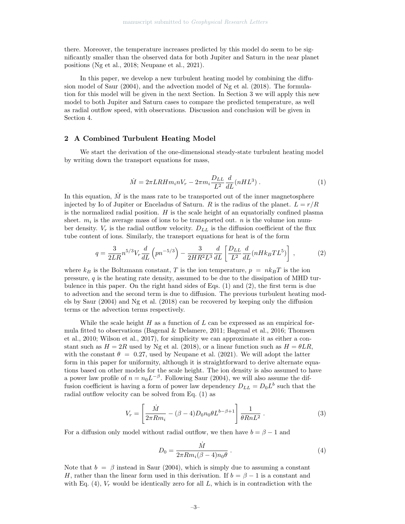there. Moreover, the temperature increases predicted by this model do seem to be significantly smaller than the observed data for both Jupiter and Saturn in the near planet positions (Ng et al., 2018; Neupane et al., 2021).

In this paper, we develop a new turbulent heating model by combining the diffusion model of Saur (2004), and the advection model of Ng et al. (2018). The formulation for this model will be given in the next Section. In Section 3 we will apply this new model to both Jupiter and Saturn cases to compare the predicted temperature, as well as radial outflow speed, with observations. Discussion and conclusion will be given in Section 4.

# 2 A Combined Turbulent Heating Model

We start the derivation of the one-dimensional steady-state turbulent heating model by writing down the transport equations for mass,

$$
\dot{M} = 2\pi LR H m_i n V_r - 2\pi m_i \frac{D_{LL}}{L^2} \frac{d}{dL} (n H L^3) \,. \tag{1}
$$

In this equation,  $\dot{M}$  is the mass rate to be transported out of the inner magnetosphere injected by Io of Jupiter or Enceladus of Saturn. R is the radius of the planet.  $L = r/R$ is the normalized radial position.  $H$  is the scale height of an equatorially confined plasma sheet.  $m_i$  is the average mass of ions to be transported out. n is the volume ion number density.  $V_r$  is the radial outflow velocity.  $D_{LL}$  is the diffusion coefficient of the flux tube content of ions. Similarly, the transport equations for heat is of the form

$$
q = \frac{3}{2LR} n^{5/3} V_r \frac{d}{dL} \left( p n^{-5/3} \right) - \frac{3}{2HR^2L^3} \frac{d}{dL} \left[ \frac{D_{LL}}{L^2} \frac{d}{dL} (nHk_B TL^5) \right] , \tag{2}
$$

where  $k_B$  is the Boltzmann constant, T is the ion temperature,  $p = nk_BT$  is the ion pressure,  $q$  is the heating rate density, assumed to be due to the dissipation of MHD turbulence in this paper. On the right hand sides of Eqs. (1) and (2), the first term is due to advection and the second term is due to diffusion. The previous turbulent heating models by Saur (2004) and Ng et al. (2018) can be recovered by keeping only the diffusion terms or the advection terms respectively.

While the scale height  $H$  as a function of  $L$  can be expressed as an empirical formula fitted to observations (Bagenal & Delamere, 2011; Bagenal et al., 2016; Thomsen et al., 2010; Wilson et al., 2017), for simplicity we can approximate it as either a constant such as  $H = 2R$  used by Ng et al. (2018), or a linear function such as  $H = \theta LR$ , with the constant  $\theta = 0.27$ , used by Neupane et al. (2021). We will adopt the latter form in this paper for uniformity, although it is straightforward to derive alternate equations based on other models for the scale height. The ion density is also assumed to have a power law profile of  $n = n_0 L^{-\beta}$ . Following Saur (2004), we will also assume the diffusion coefficient is having a form of power law dependency  $D_{LL} = D_0 L^b$  such that the radial outflow velocity can be solved from Eq. (1) as

$$
V_r = \left[ \frac{\dot{M}}{2\pi R m_i} - (\beta - 4) D_0 n_0 \theta L^{b - \beta + 1} \right] \frac{1}{\theta R n L^2} \,. \tag{3}
$$

For a diffusion only model without radial outflow, we then have  $b = \beta - 1$  and

$$
D_0 = \frac{\dot{M}}{2\pi R m_i (\beta - 4) n_0 \theta} \,. \tag{4}
$$

Note that  $b = \beta$  instead in Saur (2004), which is simply due to assuming a constant H, rather than the linear form used in this derivation. If  $b = \beta - 1$  is a constant and with Eq. (4),  $V_r$  would be identically zero for all L, which is in contradiction with the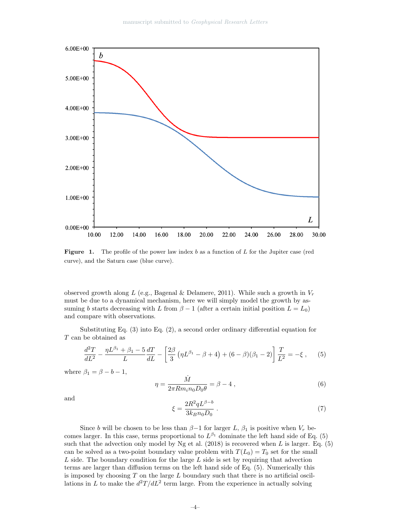

**Figure 1.** The profile of the power law index  $b$  as a function of  $L$  for the Jupiter case (red curve), and the Saturn case (blue curve).

observed growth along L (e.g., Bagenal & Delamere, 2011). While such a growth in  $V_r$ must be due to a dynamical mechanism, here we will simply model the growth by assuming b starts decreasing with L from  $\beta - 1$  (after a certain initial position  $L = L_0$ ) and compare with observations.

Substituting Eq. (3) into Eq. (2), a second order ordinary differential equation for  ${\cal T}$  can be obtained as

$$
\frac{d^2T}{dL^2} - \frac{\eta L^{\beta_1} + \beta_1 - 5}{L} \frac{dT}{dL} - \left[ \frac{2\beta}{3} \left( \eta L^{\beta_1} - \beta + 4 \right) + (6 - \beta)(\beta_1 - 2) \right] \frac{T}{L^2} = -\xi \,, \tag{5}
$$

where  $\beta_1 = \beta - b - 1$ ,

$$
\eta = \frac{\dot{M}}{2\pi R m_i n_0 D_0 \theta} = \beta - 4 , \qquad (6)
$$

and

$$
\xi = \frac{2R^2qL^{\beta - b}}{3k_B n_0 D_0} \tag{7}
$$

Since b will be chosen to be less than  $\beta-1$  for larger L,  $\beta_1$  is positive when  $V_r$  becomes larger. In this case, terms proportional to  $L^{\beta_1}$  dominate the left hand side of Eq. (5) such that the advection only model by Ng et al.  $(2018)$  is recovered when L is larger. Eq.  $(5)$ can be solved as a two-point boundary value problem with  $T(L_0) = T_0$  set for the small  $L$  side. The boundary condition for the large  $L$  side is set by requiring that advection terms are larger than diffusion terms on the left hand side of Eq. (5). Numerically this is imposed by choosing  $T$  on the large  $L$  boundary such that there is no artificial oscillations in L to make the  $d^2T/dL^2$  term large. From the experience in actually solving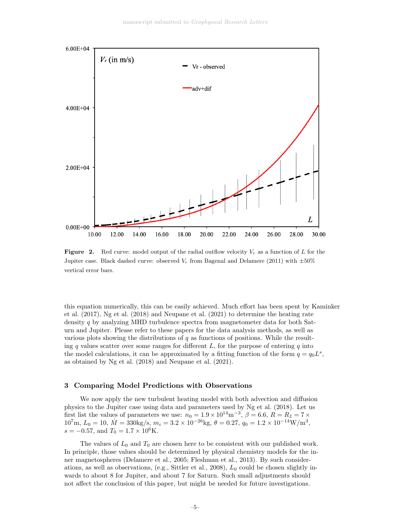

**Figure 2.** Red curve: model output of the radial outflow velocity  $V_r$  as a function of L for the Jupiter case. Black dashed curve: observed  $V_r$  from Bagenal and Delamere (2011) with  $\pm 50\%$ vertical error bars.

this equation numerically, this can be easily achieved. Much effort has been spent by Kaminker et al. (2017), Ng et al. (2018) and Neupane et al. (2021) to determine the heating rate density  $q$  by analyzing MHD turbulence spectra from magnetometer data for both Saturn and Jupiter. Please refer to these papers for the data analysis methods, as well as various plots showing the distributions of  $q$  as functions of positions. While the resulting q values scatter over some ranges for different  $L$ , for the purpose of entering q into the model calculations, it can be approximated by a fitting function of the form  $q = q_0 L^s$ , as obtained by Ng et al. (2018) and Neupane et al. (2021).

### 3 Comparing Model Predictions with Observations

We now apply the new turbulent heating model with both advection and diffusion physics to the Jupiter case using data and parameters used by Ng et al. (2018). Let us first list the values of parameters we use:  $n_0 = 1.9 \times 10^{14} \text{m}^{-3}$ ,  $\beta = 6.6$ ,  $R = R_J = 7 \times 10^{14} \text{m}^{-3}$  $10^7$ m,  $L_0 = 10$ ,  $\dot{M} = 330$ kg/s,  $m_i = 3.2 \times 10^{-26}$ kg,  $\theta = 0.27$ ,  $q_0 = 1.2 \times 10^{-14}$ W/m<sup>3</sup>,  $s = -0.57$ , and  $T_0 = 1.7 \times 10^6$ K.

The values of  $L_0$  and  $T_0$  are chosen here to be consistent with our published work. In principle, those values should be determined by physical chemistry models for the inner magnetospheres (Delamere et al., 2005; Fleshman et al., 2013). By such considerations, as well as observations, (e.g., Sittler et al., 2008),  $L_0$  could be chosen slightly inwards to about 8 for Jupiter, and about 7 for Saturn. Such small adjustments should not affect the conclusion of this paper, but might be needed for future investigations.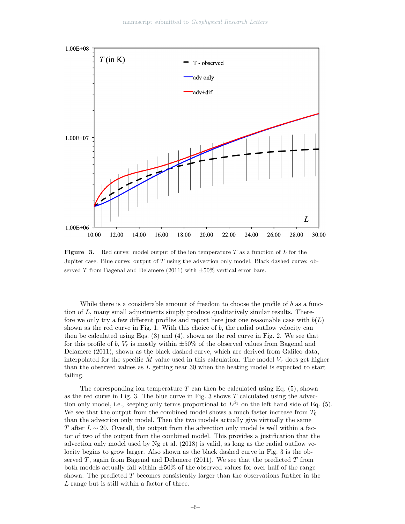

**Figure** 3. Red curve: model output of the ion temperature  $T$  as a function of  $L$  for the Jupiter case. Blue curve: output of T using the advection only model. Black dashed curve: observed T from Bagenal and Delamere (2011) with  $\pm 50\%$  vertical error bars.

While there is a considerable amount of freedom to choose the profile of b as a function of L, many small adjustments simply produce qualitatively similar results. Therefore we only try a few different profiles and report here just one reasonable case with  $b(L)$ shown as the red curve in Fig. 1. With this choice of  $b$ , the radial outflow velocity can then be calculated using Eqs. (3) and (4), shown as the red curve in Fig. 2. We see that for this profile of b,  $V_r$  is mostly within  $\pm 50\%$  of the observed values from Bagenal and Delamere (2011), shown as the black dashed curve, which are derived from Galileo data, interpolated for the specific M value used in this calculation. The model  $V_r$  does get higher than the observed values as L getting near 30 when the heating model is expected to start failing.

The corresponding ion temperature  $T$  can then be calculated using Eq. (5), shown as the red curve in Fig. 3. The blue curve in Fig. 3 shows  $T$  calculated using the advection only model, i.e., keeping only terms proportional to  $L^{\beta_1}$  on the left hand side of Eq. (5). We see that the output from the combined model shows a much faster increase from  $T_0$ than the advection only model. Then the two models actually give virtually the same T after  $L \sim 20$ . Overall, the output from the advection only model is well within a factor of two of the output from the combined model. This provides a justification that the advection only model used by Ng et al. (2018) is valid, as long as the radial outflow velocity begins to grow larger. Also shown as the black dashed curve in Fig. 3 is the observed  $T$ , again from Bagenal and Delamere (2011). We see that the predicted  $T$  from both models actually fall within  $\pm 50\%$  of the observed values for over half of the range shown. The predicted  $T$  becomes consistently larger than the observations further in the L range but is still within a factor of three.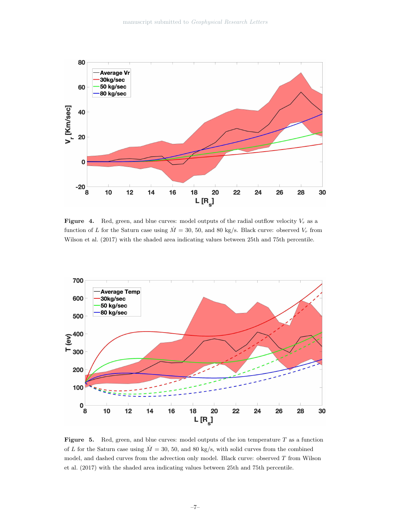

Figure 4. Red, green, and blue curves: model outputs of the radial outflow velocity  $V_r$  as a function of L for the Saturn case using  $\dot{M} = 30, 50, \text{ and } 80 \text{ kg/s}$ . Black curve: observed  $V_r$  from Wilson et al. (2017) with the shaded area indicating values between 25th and 75th percentile.



**Figure 5.** Red, green, and blue curves: model outputs of the ion temperature T as a function of L for the Saturn case using  $\dot{M} = 30, 50,$  and 80 kg/s, with solid curves from the combined model, and dashed curves from the advection only model. Black curve: observed  $T$  from Wilson et al. (2017) with the shaded area indicating values between 25th and 75th percentile.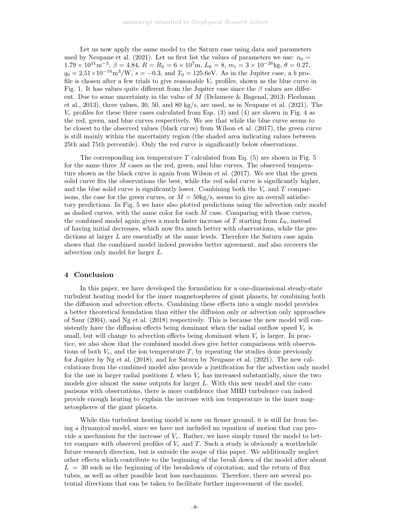Let us now apply the same model to the Saturn case using data and parameters used by Neupane et al. (2021). Let us first list the values of parameters we use:  $n_0 =$  $1.79 \times 10^{11} \text{m}^{-3}$ ,  $\beta = 4.84$ ,  $R = R_S = 6 \times 10^7 \text{m}$ ,  $L_0 = 8$ ,  $m_i = 3 \times 10^{-26} \text{kg}$ ,  $\theta = 0.27$ ,  $q_0 = 2.51 \times 10^{-16} \text{m}^3/\text{W}$ ,  $s = -0.3$ , and  $T_0 = 125.6 \text{eV}$ . As in the Jupiter case, a b profile is chosen after a few trials to give reasonable  $V_r$  profiles, shown as the blue curve in Fig. 1. It has values quite different from the Jupiter case since the  $\beta$  values are different. Due to some uncertainty in the value of  $M$  (Delamere & Bagenal, 2013; Fleshman et al., 2013), three values, 30, 50, and 80 kg/s, are used, as in Neupane et al. (2021). The  $V_r$  profiles for these three cases calculated from Eqs. (3) and (4) are shown in Fig. 4 as the red, green, and blue curves respectively. We see that while the blue curve seems to be closest to the observed values (black curve) from Wilson et al. (2017), the green curve is still mainly within the uncertainty region (the shaded area indicating values between 25th and 75th percentile). Only the red curve is significantly below observations.

The corresponding ion temperature  $T$  calculated from Eq.  $(5)$  are shown in Fig. 5 for the same three  $M$  cases as the red, green, and blue curves. The observed temperature shown as the black curve is again from Wilson et al. (2017). We see that the green solid curve fits the observations the best, while the red solid curve is significantly higher, and the blue solid curve is significantly lower. Combining both the  $V_r$  and  $T$  comparisons, the case for the green curves, or  $M = 50 \text{kg/s}$ , seems to give an overall satisfactory predictions. In Fig. 5 we have also plotted predictions using the advection only model as dashed curves, with the same color for each  $M$  case. Comparing with those curves, the combined model again gives a much faster increase of  $T$  starting from  $L_0$ , instead of having initial decreases, which now fits much better with observations, while the predictions at larger  $L$  are essentially at the same levels. Therefore the Saturn case again shows that the combined model indeed provides better agreement, and also recovers the advection only model for larger L.

#### 4 Conclusion

In this paper, we have developed the formulation for a one-dimensional steady-state turbulent heating model for the inner magnetospheres of giant planets, by combining both the diffusion and advection effects. Combining these effects into a single model provides a better theoretical foundation than either the diffusion only or advection only approaches of Saur (2004), and Ng et al. (2018) respectively. This is because the new model will consistently have the diffusion effects being dominant when the radial outflow speed  $V_r$  is small, but will change to advection effects being dominant when  $V_r$  is larger. In practice, we also show that the combined model does give better comparisons with observations of both  $V_r$ , and the ion temperature T, by repeating the studies done previously for Jupiter by Ng et al. (2018), and for Saturn by Neupane et al. (2021). The new calculations from the combined model also provide a justification for the advection only model for the use in larger radial positions  $L$  when  $V_r$  has increased substantially, since the two models give almost the same outputs for larger L. With this new model and the comparisons with observations, there is more confidence that MHD turbulence can indeed provide enough heating to explain the increase with ion temperature in the inner magnetospheres of the giant planets.

While this turbulent heating model is now on firmer ground, it is still far from being a dynamical model, since we have not included an equation of motion that can provide a mechanism for the increase of  $V_r$ . Rather, we have simply tuned the model to better compare with observed profiles of  $V_r$  and T. Such a study is obviously a worthwhile future research direction, but is outside the scope of this paper. We additionally neglect other effects which contribute to the beginning of the break down of the model after about  $L = 30$  such as the beginning of the breakdown of corotation, and the return of flux tubes, as well as other possible heat loss mechanisms. Therefore, there are several potential directions that can be taken to facilitate further improvement of the model.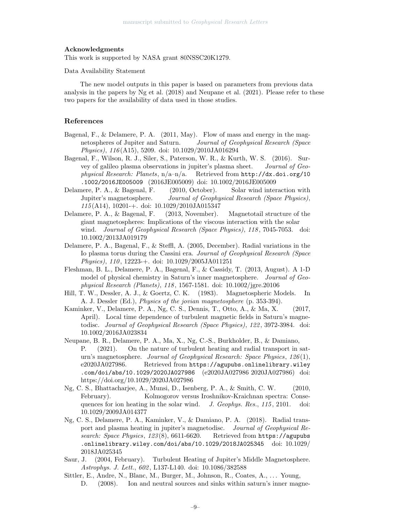#### Acknowledgments

This work is supported by NASA grant 80NSSC20K1279.

Data Availability Statement

The new model outputs in this paper is based on parameters from previous data analysis in the papers by Ng et al. (2018) and Neupane et al. (2021). Please refer to these two papers for the availability of data used in those studies.

### References

- Bagenal, F., & Delamere, P. A. (2011, May). Flow of mass and energy in the magnetospheres of Jupiter and Saturn. Journal of Geophysical Research (Space Physics), 116 (A15), 5209. doi: 10.1029/2010JA016294
- Bagenal, F., Wilson, R. J., Siler, S., Paterson, W. R., & Kurth, W. S. (2016). Survey of galileo plasma observations in jupiter's plasma sheet. Journal of Geophysical Research: Planets,  $n/a-n/a$ . Retrieved from  $http://dx.doi.org/10$ .1002/2016JE005009 (2016JE005009) doi: 10.1002/2016JE005009
- Delamere, P. A., & Bagenal, F. (2010, October). Solar wind interaction with Jupiter's magnetosphere. Journal of Geophysical Research (Space Physics), 115 (A14), 10201-+. doi: 10.1029/2010JA015347
- Delamere, P. A., & Bagenal, F. (2013, November). Magnetotail structure of the giant magnetospheres: Implications of the viscous interaction with the solar wind. Journal of Geophysical Research (Space Physics), 118, 7045-7053. doi: 10.1002/2013JA019179
- Delamere, P. A., Bagenal, F., & Steffl, A. (2005, December). Radial variations in the Io plasma torus during the Cassini era. Journal of Geophysical Research (Space Physics), 110, 12223-+. doi: 10.1029/2005JA011251
- Fleshman, B. L., Delamere, P. A., Bagenal, F., & Cassidy, T. (2013, August). A 1-D model of physical chemistry in Saturn's inner magnetosphere. Journal of Geophysical Research (Planets), 118 , 1567-1581. doi: 10.1002/jgre.20106
- Hill, T. W., Dessler, A. J., & Goertz, C. K. (1983). Magnetospheric Models. In A. J. Dessler (Ed.), Physics of the jovian magnetosphere (p. 353-394).
- Kaminker, V., Delamere, P. A., Ng, C. S., Dennis, T., Otto, A., & Ma, X. (2017, April). Local time dependence of turbulent magnetic fields in Saturn's magnetodisc. Journal of Geophysical Research (Space Physics), 122 , 3972-3984. doi: 10.1002/2016JA023834
- Neupane, B. R., Delamere, P. A., Ma, X., Ng, C.-S., Burkholder, B., & Damiano, P. (2021). On the nature of turbulent heating and radial transport in saturn's magnetosphere. Journal of Geophysical Research: Space Physics, 126(1), e2020JA027986. Retrieved from https://agupubs.onlinelibrary.wiley .com/doi/abs/10.1029/2020JA027986 (e2020JA027986 2020JA027986) doi: https://doi.org/10.1029/2020JA027986
- Ng, C. S., Bhattacharjee, A., Munsi, D., Isenberg, P. A., & Smith, C. W. (2010, February). Kolmogorov versus Iroshnikov-Kraichnan spectra: Consequences for ion heating in the solar wind.  $J. Geophys. Res., 115, 2101.$  doi: 10.1029/2009JA014377
- Ng, C. S., Delamere, P. A., Kaminker, V., & Damiano, P. A. (2018). Radial transport and plasma heating in jupiter's magnetodisc. Journal of Geophysical Research: Space Physics, 123(8), 6611-6620. Retrieved from https://agupubs .onlinelibrary.wiley.com/doi/abs/10.1029/2018JA025345 doi: 10.1029/ 2018JA025345
- Saur, J. (2004, February). Turbulent Heating of Jupiter's Middle Magnetosphere. Astrophys. J. Lett., 602, L137-L140. doi: 10.1086/382588
- Sittler, E., Andre, N., Blanc, M., Burger, M., Johnson, R., Coates, A., . . . Young, D. (2008). Ion and neutral sources and sinks within saturn's inner magne-